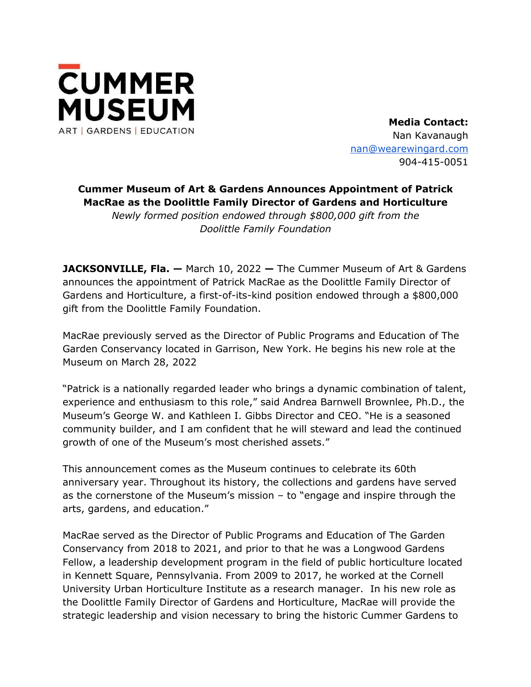

**Media Contact:** Nan Kavanaugh nan@wearewingard.com 904-415-0051

## **Cummer Museum of Art & Gardens Announces Appointment of Patrick MacRae as the Doolittle Family Director of Gardens and Horticulture**

*Newly formed position endowed through \$800,000 gift from the Doolittle Family Foundation* 

**JACKSONVILLE, Fla. —** March 10, 2022 **—** The Cummer Museum of Art & Gardens announces the appointment of Patrick MacRae as the Doolittle Family Director of Gardens and Horticulture, a first-of-its-kind position endowed through a \$800,000 gift from the Doolittle Family Foundation.

MacRae previously served as the Director of Public Programs and Education of The Garden Conservancy located in Garrison, New York. He begins his new role at the Museum on March 28, 2022

"Patrick is a nationally regarded leader who brings a dynamic combination of talent, experience and enthusiasm to this role," said Andrea Barnwell Brownlee, Ph.D., the Museum's George W. and Kathleen I. Gibbs Director and CEO. "He is a seasoned community builder, and I am confident that he will steward and lead the continued growth of one of the Museum's most cherished assets."

This announcement comes as the Museum continues to celebrate its 60th anniversary year. Throughout its history, the collections and gardens have served as the cornerstone of the Museum's mission – to "engage and inspire through the arts, gardens, and education."

MacRae served as the Director of Public Programs and Education of The Garden Conservancy from 2018 to 2021, and prior to that he was a Longwood Gardens Fellow, a leadership development program in the field of public horticulture located in Kennett Square, Pennsylvania. From 2009 to 2017, he worked at the Cornell University Urban Horticulture Institute as a research manager. In his new role as the Doolittle Family Director of Gardens and Horticulture, MacRae will provide the strategic leadership and vision necessary to bring the historic Cummer Gardens to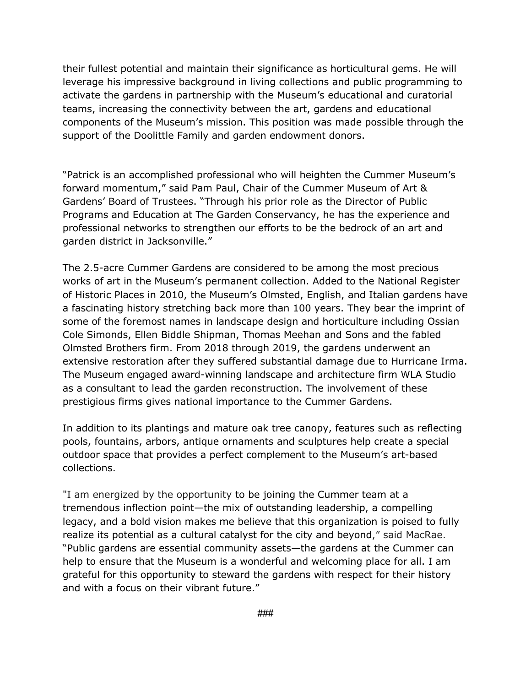their fullest potential and maintain their significance as horticultural gems. He will leverage his impressive background in living collections and public programming to activate the gardens in partnership with the Museum's educational and curatorial teams, increasing the connectivity between the art, gardens and educational components of the Museum's mission. This position was made possible through the support of the Doolittle Family and garden endowment donors.

"Patrick is an accomplished professional who will heighten the Cummer Museum's forward momentum," said Pam Paul, Chair of the Cummer Museum of Art & Gardens' Board of Trustees. "Through his prior role as the Director of Public Programs and Education at The Garden Conservancy, he has the experience and professional networks to strengthen our efforts to be the bedrock of an art and garden district in Jacksonville."

The 2.5-acre Cummer Gardens are considered to be among the most precious works of art in the Museum's permanent collection. Added to the National Register of Historic Places in 2010, the Museum's Olmsted, English, and Italian gardens have a fascinating history stretching back more than 100 years. They bear the imprint of some of the foremost names in landscape design and horticulture including Ossian Cole Simonds, Ellen Biddle Shipman, Thomas Meehan and Sons and the fabled Olmsted Brothers firm. From 2018 through 2019, the gardens underwent an extensive restoration after they suffered substantial damage due to Hurricane Irma. The Museum engaged award-winning landscape and architecture firm WLA Studio as a consultant to lead the garden reconstruction. The involvement of these prestigious firms gives national importance to the Cummer Gardens.

In addition to its plantings and mature oak tree canopy, features such as reflecting pools, fountains, arbors, antique ornaments and sculptures help create a special outdoor space that provides a perfect complement to the Museum's art-based collections.

"I am energized by the opportunity to be joining the Cummer team at a tremendous inflection point—the mix of outstanding leadership, a compelling legacy, and a bold vision makes me believe that this organization is poised to fully realize its potential as a cultural catalyst for the city and beyond," said MacRae. "Public gardens are essential community assets—the gardens at the Cummer can help to ensure that the Museum is a wonderful and welcoming place for all. I am grateful for this opportunity to steward the gardens with respect for their history and with a focus on their vibrant future."